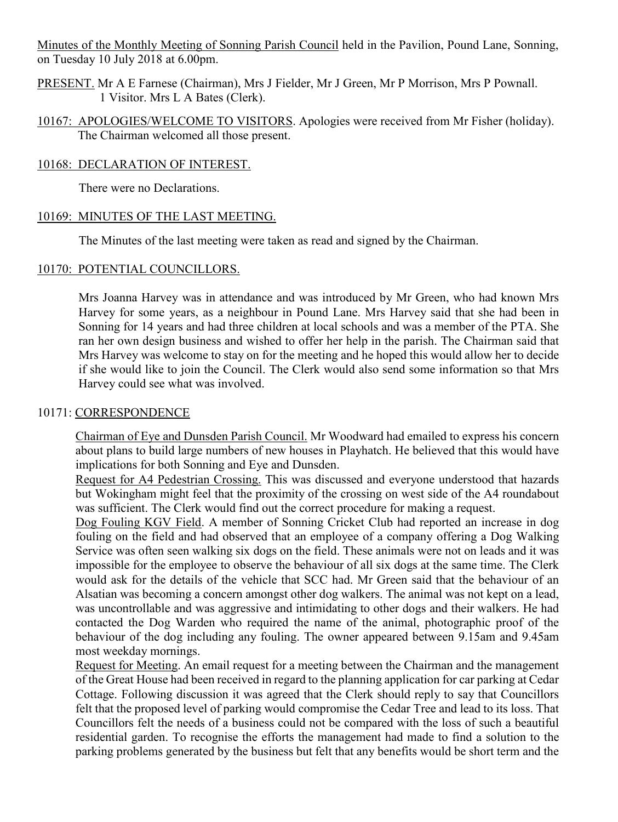Minutes of the Monthly Meeting of Sonning Parish Council held in the Pavilion, Pound Lane, Sonning, on Tuesday 10 July 2018 at 6.00pm.

- PRESENT. Mr A E Farnese (Chairman), Mrs J Fielder, Mr J Green, Mr P Morrison, Mrs P Pownall. 1 Visitor. Mrs L A Bates (Clerk).
- 10167: APOLOGIES/WELCOME TO VISITORS. Apologies were received from Mr Fisher (holiday). The Chairman welcomed all those present.

#### 10168: DECLARATION OF INTEREST.

There were no Declarations.

#### 10169: MINUTES OF THE LAST MEETING.

The Minutes of the last meeting were taken as read and signed by the Chairman.

#### 10170: POTENTIAL COUNCILLORS.

Mrs Joanna Harvey was in attendance and was introduced by Mr Green, who had known Mrs Harvey for some years, as a neighbour in Pound Lane. Mrs Harvey said that she had been in Sonning for 14 years and had three children at local schools and was a member of the PTA. She ran her own design business and wished to offer her help in the parish. The Chairman said that Mrs Harvey was welcome to stay on for the meeting and he hoped this would allow her to decide if she would like to join the Council. The Clerk would also send some information so that Mrs Harvey could see what was involved.

#### 10171: CORRESPONDENCE

Chairman of Eye and Dunsden Parish Council. Mr Woodward had emailed to express his concern about plans to build large numbers of new houses in Playhatch. He believed that this would have implications for both Sonning and Eye and Dunsden.

Request for A4 Pedestrian Crossing. This was discussed and everyone understood that hazards but Wokingham might feel that the proximity of the crossing on west side of the A4 roundabout was sufficient. The Clerk would find out the correct procedure for making a request.

Dog Fouling KGV Field. A member of Sonning Cricket Club had reported an increase in dog fouling on the field and had observed that an employee of a company offering a Dog Walking Service was often seen walking six dogs on the field. These animals were not on leads and it was impossible for the employee to observe the behaviour of all six dogs at the same time. The Clerk would ask for the details of the vehicle that SCC had. Mr Green said that the behaviour of an Alsatian was becoming a concern amongst other dog walkers. The animal was not kept on a lead, was uncontrollable and was aggressive and intimidating to other dogs and their walkers. He had contacted the Dog Warden who required the name of the animal, photographic proof of the behaviour of the dog including any fouling. The owner appeared between 9.15am and 9.45am most weekday mornings.

Request for Meeting. An email request for a meeting between the Chairman and the management of the Great House had been received in regard to the planning application for car parking at Cedar Cottage. Following discussion it was agreed that the Clerk should reply to say that Councillors felt that the proposed level of parking would compromise the Cedar Tree and lead to its loss. That Councillors felt the needs of a business could not be compared with the loss of such a beautiful residential garden. To recognise the efforts the management had made to find a solution to the parking problems generated by the business but felt that any benefits would be short term and the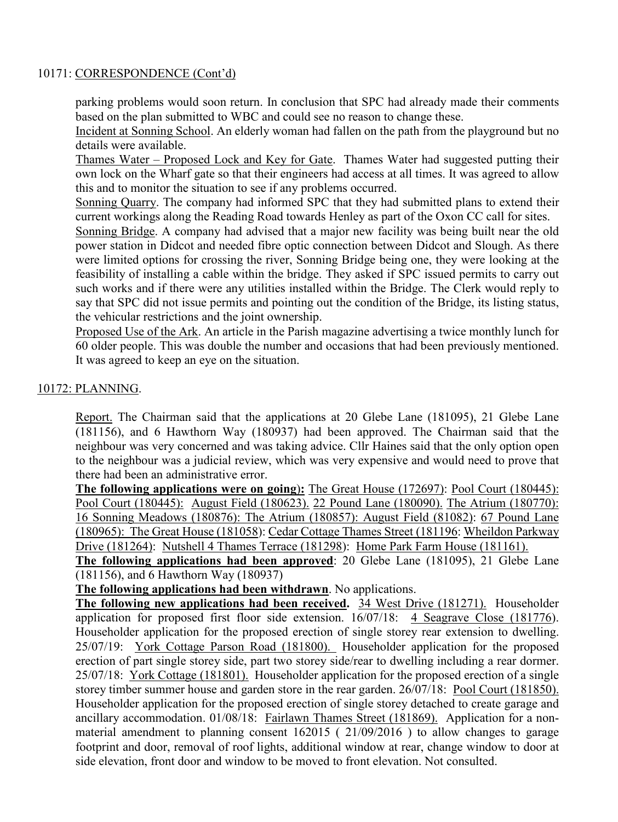#### 10171: CORRESPONDENCE (Cont'd)

parking problems would soon return. In conclusion that SPC had already made their comments based on the plan submitted to WBC and could see no reason to change these.

Incident at Sonning School. An elderly woman had fallen on the path from the playground but no details were available.

Thames Water – Proposed Lock and Key for Gate. Thames Water had suggested putting their own lock on the Wharf gate so that their engineers had access at all times. It was agreed to allow this and to monitor the situation to see if any problems occurred.

Sonning Quarry. The company had informed SPC that they had submitted plans to extend their current workings along the Reading Road towards Henley as part of the Oxon CC call for sites.

Sonning Bridge. A company had advised that a major new facility was being built near the old power station in Didcot and needed fibre optic connection between Didcot and Slough. As there were limited options for crossing the river, Sonning Bridge being one, they were looking at the feasibility of installing a cable within the bridge. They asked if SPC issued permits to carry out such works and if there were any utilities installed within the Bridge. The Clerk would reply to say that SPC did not issue permits and pointing out the condition of the Bridge, its listing status, the vehicular restrictions and the joint ownership.

Proposed Use of the Ark. An article in the Parish magazine advertising a twice monthly lunch for 60 older people. This was double the number and occasions that had been previously mentioned. It was agreed to keep an eye on the situation.

## 10172: PLANNING.

Report. The Chairman said that the applications at 20 Glebe Lane (181095), 21 Glebe Lane (181156), and 6 Hawthorn Way (180937) had been approved. The Chairman said that the neighbour was very concerned and was taking advice. Cllr Haines said that the only option open to the neighbour was a judicial review, which was very expensive and would need to prove that there had been an administrative error.

**The following applications were on going**)**:** The Great House (172697): Pool Court (180445): Pool Court (180445): August Field (180623). 22 Pound Lane (180090). The Atrium (180770): 16 Sonning Meadows (180876): The Atrium (180857): August Field (81082): 67 Pound Lane (180965): The Great House (181058): Cedar Cottage Thames Street (181196: Wheildon Parkway Drive (181264): Nutshell 4 Thames Terrace (181298): Home Park Farm House (181161).

**The following applications had been approved**: 20 Glebe Lane (181095), 21 Glebe Lane (181156), and 6 Hawthorn Way (180937)

**The following applications had been withdrawn**. No applications.

**The following new applications had been received.** 34 West Drive (181271). Householder application for proposed first floor side extension. 16/07/18: 4 Seagrave Close (181776). Householder application for the proposed erection of single storey rear extension to dwelling. 25/07/19: York Cottage Parson Road (181800). Householder application for the proposed erection of part single storey side, part two storey side/rear to dwelling including a rear dormer. 25/07/18: York Cottage (181801). Householder application for the proposed erection of a single storey timber summer house and garden store in the rear garden. 26/07/18: Pool Court (181850). Householder application for the proposed erection of single storey detached to create garage and ancillary accommodation. 01/08/18: Fairlawn Thames Street (181869). Application for a nonmaterial amendment to planning consent 162015 ( 21/09/2016 ) to allow changes to garage footprint and door, removal of roof lights, additional window at rear, change window to door at side elevation, front door and window to be moved to front elevation. Not consulted.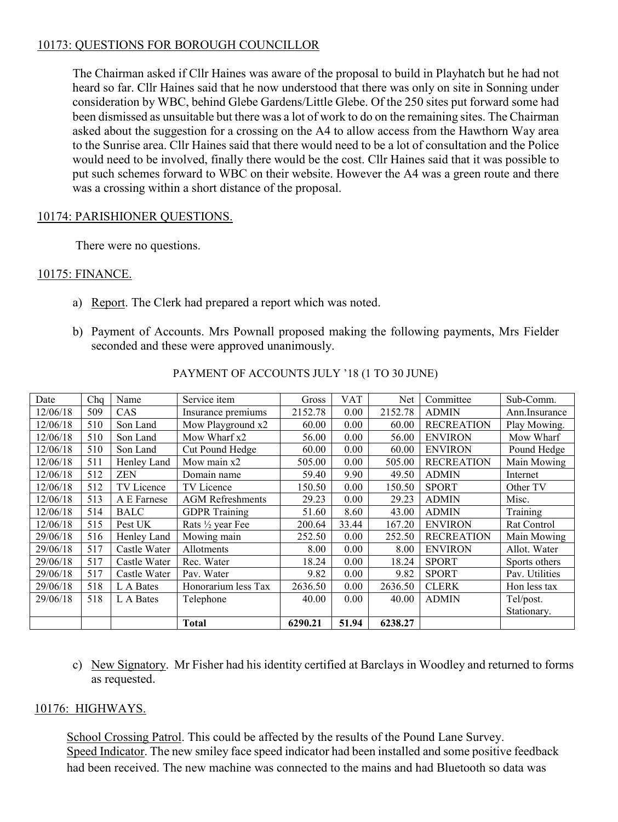## 10173: QUESTIONS FOR BOROUGH COUNCILLOR

The Chairman asked if Cllr Haines was aware of the proposal to build in Playhatch but he had not heard so far. Cllr Haines said that he now understood that there was only on site in Sonning under consideration by WBC, behind Glebe Gardens/Little Glebe. Of the 250 sites put forward some had been dismissed as unsuitable but there was a lot of work to do on the remaining sites. The Chairman asked about the suggestion for a crossing on the A4 to allow access from the Hawthorn Way area to the Sunrise area. Cllr Haines said that there would need to be a lot of consultation and the Police would need to be involved, finally there would be the cost. Cllr Haines said that it was possible to put such schemes forward to WBC on their website. However the A4 was a green route and there was a crossing within a short distance of the proposal.

## 10174: PARISHIONER QUESTIONS.

There were no questions.

## 10175: FINANCE.

- a) Report. The Clerk had prepared a report which was noted.
- b) Payment of Accounts. Mrs Pownall proposed making the following payments, Mrs Fielder seconded and these were approved unanimously.

| Date     | Chq | Name         | Service item            | Gross   | VAT   | Net     | Committee         | Sub-Comm.      |
|----------|-----|--------------|-------------------------|---------|-------|---------|-------------------|----------------|
| 12/06/18 | 509 | CAS          | Insurance premiums      | 2152.78 | 0.00  | 2152.78 | <b>ADMIN</b>      | Ann.Insurance  |
| 12/06/18 | 510 | Son Land     | Mow Playground x2       | 60.00   | 0.00  | 60.00   | <b>RECREATION</b> | Play Mowing.   |
| 12/06/18 | 510 | Son Land     | Mow Wharf x2            | 56.00   | 0.00  | 56.00   | <b>ENVIRON</b>    | Mow Wharf      |
| 12/06/18 | 510 | Son Land     | Cut Pound Hedge         | 60.00   | 0.00  | 60.00   | <b>ENVIRON</b>    | Pound Hedge    |
| 12/06/18 | 511 | Henley Land  | Mow main x2             | 505.00  | 0.00  | 505.00  | <b>RECREATION</b> | Main Mowing    |
| 12/06/18 | 512 | <b>ZEN</b>   | Domain name             | 59.40   | 9.90  | 49.50   | <b>ADMIN</b>      | Internet       |
| 12/06/18 | 512 | TV Licence   | TV Licence              | 150.50  | 0.00  | 150.50  | <b>SPORT</b>      | Other TV       |
| 12/06/18 | 513 | A E Farnese  | <b>AGM</b> Refreshments | 29.23   | 0.00  | 29.23   | <b>ADMIN</b>      | Misc.          |
| 12/06/18 | 514 | <b>BALC</b>  | <b>GDPR</b> Training    | 51.60   | 8.60  | 43.00   | <b>ADMIN</b>      | Training       |
| 12/06/18 | 515 | Pest UK      | Rats 1/2 year Fee       | 200.64  | 33.44 | 167.20  | <b>ENVIRON</b>    | Rat Control    |
| 29/06/18 | 516 | Henley Land  | Mowing main             | 252.50  | 0.00  | 252.50  | <b>RECREATION</b> | Main Mowing    |
| 29/06/18 | 517 | Castle Water | Allotments              | 8.00    | 0.00  | 8.00    | <b>ENVIRON</b>    | Allot. Water   |
| 29/06/18 | 517 | Castle Water | Rec. Water              | 18.24   | 0.00  | 18.24   | <b>SPORT</b>      | Sports others  |
| 29/06/18 | 517 | Castle Water | Pav. Water              | 9.82    | 0.00  | 9.82    | <b>SPORT</b>      | Pav. Utilities |
| 29/06/18 | 518 | L A Bates    | Honorarium less Tax     | 2636.50 | 0.00  | 2636.50 | <b>CLERK</b>      | Hon less tax   |
| 29/06/18 | 518 | L A Bates    | Telephone               | 40.00   | 0.00  | 40.00   | <b>ADMIN</b>      | Tel/post.      |
|          |     |              |                         |         |       |         |                   | Stationary.    |
|          |     |              | <b>Total</b>            | 6290.21 | 51.94 | 6238.27 |                   |                |

PAYMENT OF ACCOUNTS JULY '18 (1 TO 30 JUNE)

c) New Signatory. Mr Fisher had his identity certified at Barclays in Woodley and returned to forms as requested.

## 10176: HIGHWAYS.

School Crossing Patrol. This could be affected by the results of the Pound Lane Survey. Speed Indicator. The new smiley face speed indicator had been installed and some positive feedback had been received. The new machine was connected to the mains and had Bluetooth so data was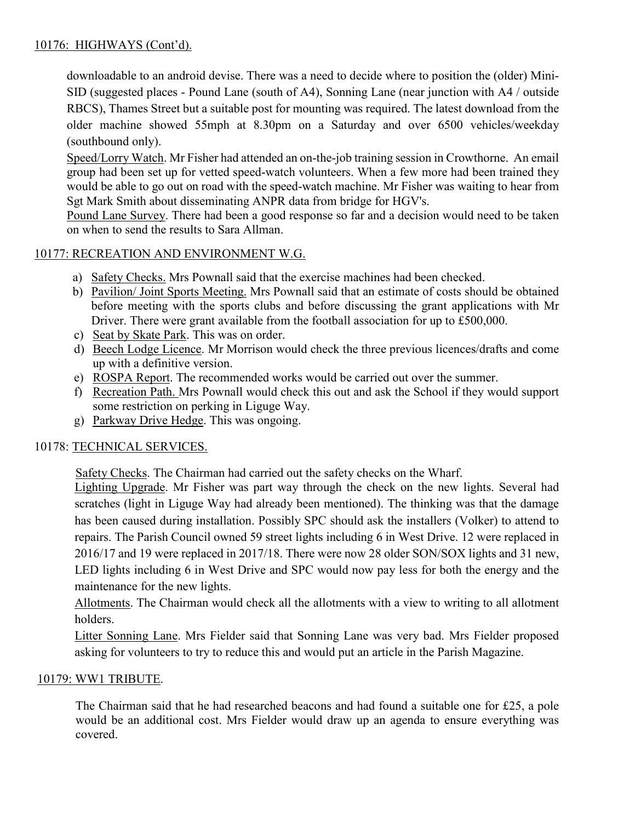## 10176: HIGHWAYS (Cont'd).

downloadable to an android devise. There was a need to decide where to position the (older) Mini-SID (suggested places - Pound Lane (south of A4), Sonning Lane (near junction with A4 / outside RBCS), Thames Street but a suitable post for mounting was required. The latest download from the older machine showed 55mph at 8.30pm on a Saturday and over 6500 vehicles/weekday (southbound only).

Speed/Lorry Watch. Mr Fisher had attended an on-the-job training session in Crowthorne. An email group had been set up for vetted speed-watch volunteers. When a few more had been trained they would be able to go out on road with the speed-watch machine. Mr Fisher was waiting to hear from Sgt Mark Smith about disseminating ANPR data from bridge for HGV's.

Pound Lane Survey. There had been a good response so far and a decision would need to be taken on when to send the results to Sara Allman.

## 10177: RECREATION AND ENVIRONMENT W.G.

- a) Safety Checks. Mrs Pownall said that the exercise machines had been checked.
- b) Pavilion/ Joint Sports Meeting. Mrs Pownall said that an estimate of costs should be obtained before meeting with the sports clubs and before discussing the grant applications with Mr Driver. There were grant available from the football association for up to £500,000.
- c) Seat by Skate Park. This was on order.
- d) Beech Lodge Licence. Mr Morrison would check the three previous licences/drafts and come up with a definitive version.
- e) ROSPA Report. The recommended works would be carried out over the summer.
- f) Recreation Path. Mrs Pownall would check this out and ask the School if they would support some restriction on perking in Liguge Way.
- g) Parkway Drive Hedge. This was ongoing.

#### 10178: TECHNICAL SERVICES.

Safety Checks. The Chairman had carried out the safety checks on the Wharf.

Lighting Upgrade. Mr Fisher was part way through the check on the new lights. Several had scratches (light in Liguge Way had already been mentioned). The thinking was that the damage has been caused during installation. Possibly SPC should ask the installers (Volker) to attend to repairs. The Parish Council owned 59 street lights including 6 in West Drive. 12 were replaced in 2016/17 and 19 were replaced in 2017/18. There were now 28 older SON/SOX lights and 31 new, LED lights including 6 in West Drive and SPC would now pay less for both the energy and the maintenance for the new lights.

Allotments. The Chairman would check all the allotments with a view to writing to all allotment holders.

Litter Sonning Lane. Mrs Fielder said that Sonning Lane was very bad. Mrs Fielder proposed asking for volunteers to try to reduce this and would put an article in the Parish Magazine.

#### 10179: WW1 TRIBUTE.

The Chairman said that he had researched beacons and had found a suitable one for £25, a pole would be an additional cost. Mrs Fielder would draw up an agenda to ensure everything was covered.